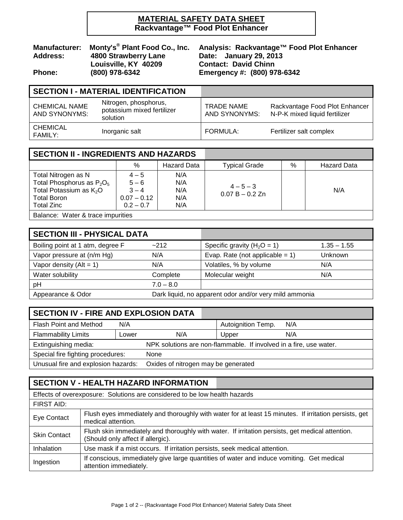## **MATERIAL SAFETY DATA SHEET Rackvantage™ Food Plot Enhancer**

# Monty's<sup>®</sup> Plant Food Co., Inc. Analysis: Rackvantag<br>4800 Strawberry Lane Date: January 29, 2013<br>Louisville, KY 40209 Contact: David Chinn  **Louisville, KY 40209**<br>(800) 978-6342 **Phone: (800) 978-6342 Emergency #: (800) 978-6342**

**Manufacturer: Monty's® Plant Food Co., Inc. Analysis: Rackvantage™ Food Plot Enhancer**

# **SECTION I - MATERIAL IDENTIFICATION**

| <b>CHEMICAL NAME</b><br>AND SYNONYMS: | Nitrogen, phosphorus,<br>potassium mixed fertilizer<br>solution | <b>TRADE NAME</b><br>AND SYNONYMS: | Rackvantage Food Plot Enhancer<br>N-P-K mixed liquid fertilizer |
|---------------------------------------|-----------------------------------------------------------------|------------------------------------|-----------------------------------------------------------------|
| CHEMICAL<br>FAMILY:                   | Inorganic salt                                                  | FORMULA:                           | Fertilizer salt complex                                         |

| <b>SECTION II - INGREDIENTS AND HAZARDS</b>                                                                                           |                                                               |                                 |                                  |      |                    |  |
|---------------------------------------------------------------------------------------------------------------------------------------|---------------------------------------------------------------|---------------------------------|----------------------------------|------|--------------------|--|
|                                                                                                                                       | $\%$                                                          | <b>Hazard Data</b>              | <b>Typical Grade</b>             | $\%$ | <b>Hazard Data</b> |  |
| Total Nitrogen as N<br>Total Phosphorus as $P_2O_5$<br>Total Potassium as K <sub>2</sub> O<br><b>Total Boron</b><br><b>Total Zinc</b> | $4 - 5$<br>$5 - 6$<br>$3 - 4$<br>$0.07 - 0.12$<br>$0.2 - 0.7$ | N/A<br>N/A<br>N/A<br>N/A<br>N/A | $4 - 5 - 3$<br>$0.07 B - 0.2 Zn$ |      | N/A                |  |
| Delegas: Water 0 trees importantes                                                                                                    |                                                               |                                 |                                  |      |                    |  |

Balance: Water & trace impurities

| <b>SECTION III - PHYSICAL DATA</b> |                                                        |                                    |                |
|------------------------------------|--------------------------------------------------------|------------------------------------|----------------|
| Boiling point at 1 atm, degree F   | $-212$                                                 | Specific gravity ( $H_2O = 1$ )    | $1.35 - 1.55$  |
| Vapor pressure at (n/m Hg)         | N/A                                                    | Evap. Rate (not applicable = $1$ ) | <b>Unknown</b> |
| Vapor density $(AIt = 1)$          | N/A                                                    | Volatiles, % by volume             | N/A            |
| Water solubility                   | Complete                                               | Molecular weight                   | N/A            |
| pH                                 | $7.0 - 8.0$                                            |                                    |                |
| Appearance & Odor                  | Dark liquid, no apparent odor and/or very mild ammonia |                                    |                |

| <b>SECTION IV - FIRE AND EXPLOSION DATA</b>                                |       |                                                                    |                    |     |  |  |
|----------------------------------------------------------------------------|-------|--------------------------------------------------------------------|--------------------|-----|--|--|
| Flash Point and Method                                                     | N/A   |                                                                    | Autoignition Temp. | N/A |  |  |
| <b>Flammability Limits</b>                                                 | Lower | N/A                                                                | Upper              | N/A |  |  |
| Extinguishing media:                                                       |       | NPK solutions are non-flammable. If involved in a fire, use water. |                    |     |  |  |
| Special fire fighting procedures:<br>None                                  |       |                                                                    |                    |     |  |  |
| Unusual fire and explosion hazards:<br>Oxides of nitrogen may be generated |       |                                                                    |                    |     |  |  |

# **SECTION V - HEALTH HAZARD INFORMATION**

| Effects of overexposure: Solutions are considered to be low health hazards |                                                                                                                                       |  |  |  |
|----------------------------------------------------------------------------|---------------------------------------------------------------------------------------------------------------------------------------|--|--|--|
| FIRST AID:                                                                 |                                                                                                                                       |  |  |  |
| Eye Contact                                                                | Flush eyes immediately and thoroughly with water for at least 15 minutes. If irritation persists, get<br>medical attention.           |  |  |  |
| <b>Skin Contact</b>                                                        | Flush skin immediately and thoroughly with water. If irritation persists, get medical attention.<br>(Should only affect if allergic). |  |  |  |
| <b>Inhalation</b>                                                          | Use mask if a mist occurs. If irritation persists, seek medical attention.                                                            |  |  |  |
| Ingestion                                                                  | If conscious, immediately give large quantities of water and induce vomiting. Get medical<br>attention immediately.                   |  |  |  |